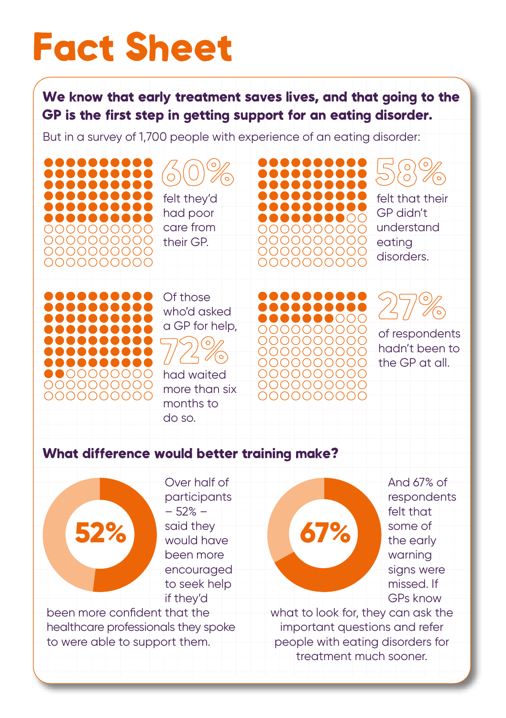## Fact Sheet

We know that early treatment saves lives, and that going to the GP is the first step in getting support for an eating disorder.

But in a survey of 1,700 people with experience of an eating disorder:

. . . . . 60% felt they'd had poor care from 0000000000 0000000000 their GP. 0000000000 0000000000

> Of those who'd asked a GP for help,

had waited more than six months to do so. 72%

understand 0000000000 0000000000 eating 0000000000 disorders. 0000000000

felt that their GP didn't

58%

of respondents hadn't been to the GP at all. 27%

## What difference would better training make?

100000

00000000 0000000000 0000000000

> Over half of participants – 52% – said they would have been more encouraged to seek help if they'd

been more confident that the healthcare professionals they spoke to were able to support them.

**52% 67% 67%** 

0000000000 0000000000 200000000 0000000000

0000000000

0000000000

And 67% of respondents felt that some of the early warning signs were missed. If GPs know

what to look for, they can ask the important questions and refer people with eating disorders for treatment much sooner.